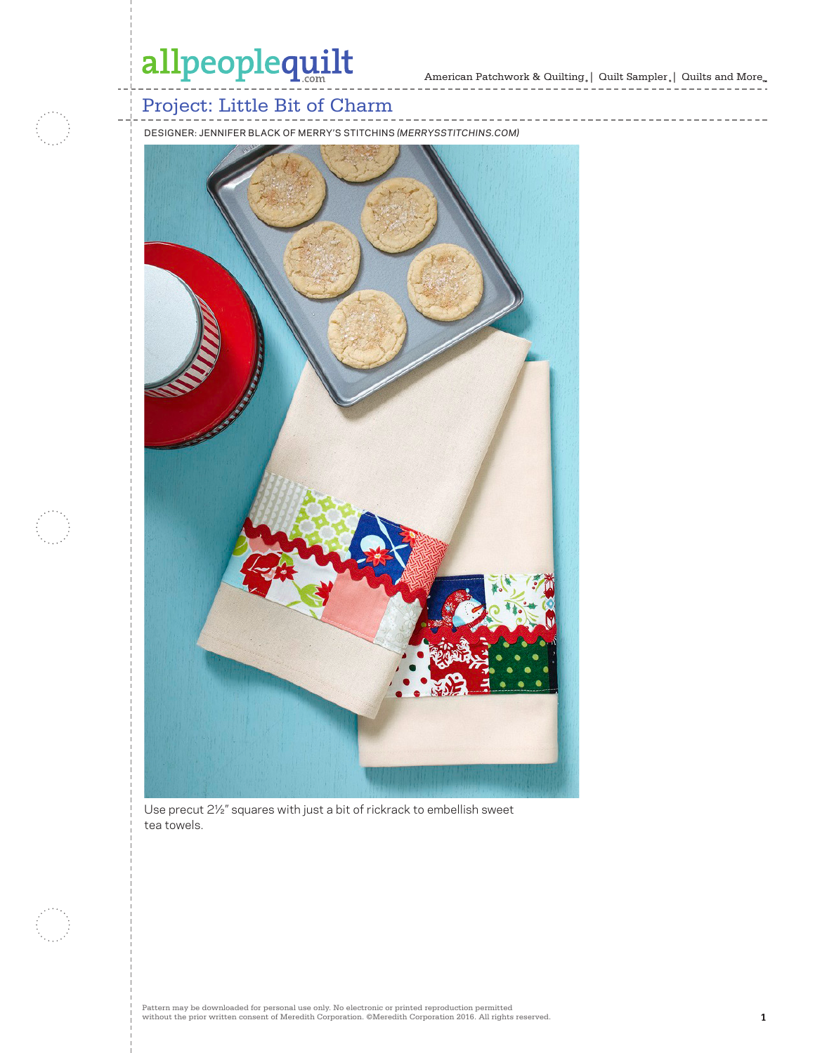# allpeoplequilt

American Patchwork & Quilting  $_{\circ} \, | \,$  Quilt Sampler  $_{\circ} \, | \,$  Quilts and More  $_{\circ \circ}$ 

-------------



### Project: Little Bit of Charm

DESIGNER: JENNIFER BLACK OF MERRY'S STITCHINS *(MERRYSSTITCHINS.COM)*



Use precut 2½" squares with just a bit of rickrack to embellish sweet tea towels.